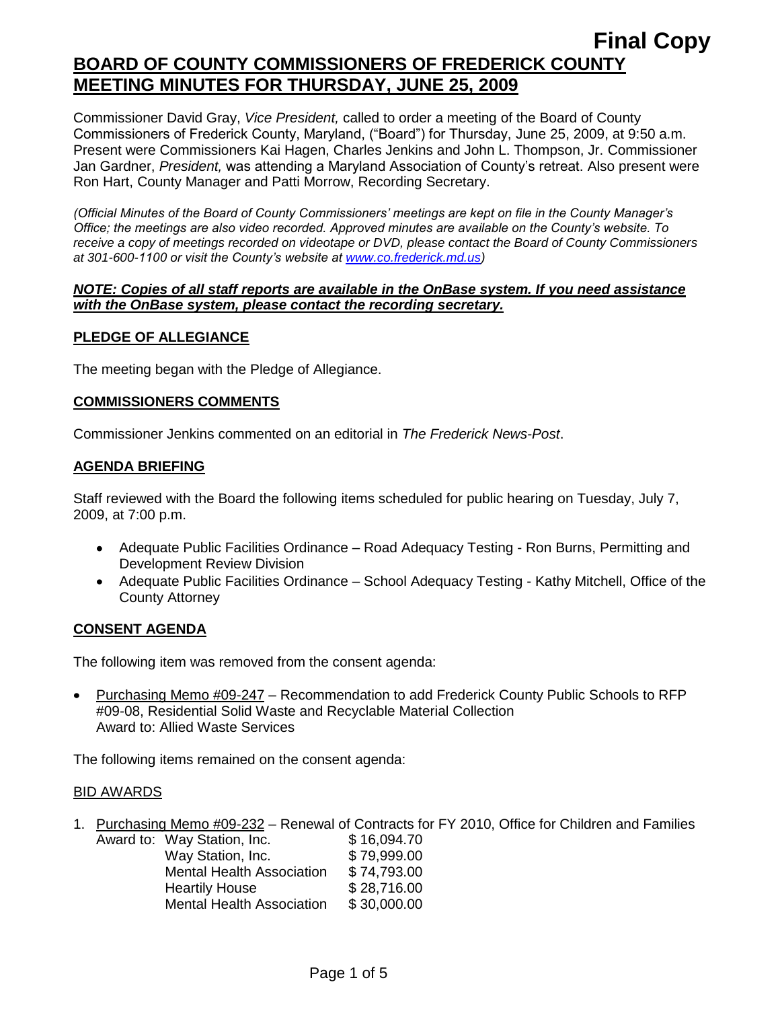Commissioner David Gray, *Vice President,* called to order a meeting of the Board of County Commissioners of Frederick County, Maryland, ("Board") for Thursday, June 25, 2009, at 9:50 a.m. Present were Commissioners Kai Hagen, Charles Jenkins and John L. Thompson, Jr. Commissioner Jan Gardner, *President,* was attending a Maryland Association of County's retreat. Also present were Ron Hart, County Manager and Patti Morrow, Recording Secretary.

*(Official Minutes of the Board of County Commissioners' meetings are kept on file in the County Manager's Office; the meetings are also video recorded. Approved minutes are available on the County's website. To receive a copy of meetings recorded on videotape or DVD, please contact the Board of County Commissioners at 301-600-1100 or visit the County's website at [www.co.frederick.md.us\)](http://www.co.frederick.md.us/)*

#### *NOTE: Copies of all staff reports are available in the OnBase system. If you need assistance with the OnBase system, please contact the recording secretary.*

## **PLEDGE OF ALLEGIANCE**

The meeting began with the Pledge of Allegiance.

## **COMMISSIONERS COMMENTS**

Commissioner Jenkins commented on an editorial in *The Frederick News-Post*.

## **AGENDA BRIEFING**

Staff reviewed with the Board the following items scheduled for public hearing on Tuesday, July 7, 2009, at 7:00 p.m.

- Adequate Public Facilities Ordinance Road Adequacy Testing Ron Burns, Permitting and Development Review Division
- Adequate Public Facilities Ordinance School Adequacy Testing Kathy Mitchell, Office of the County Attorney

## **CONSENT AGENDA**

The following item was removed from the consent agenda:

Purchasing Memo #09-247 – Recommendation to add Frederick County Public Schools to RFP #09-08, Residential Solid Waste and Recyclable Material Collection Award to: Allied Waste Services

The following items remained on the consent agenda:

#### BID AWARDS

1. Purchasing Memo  $\#09-232$  – Renewal of Contracts for FY 2010, Office for Children and Families Award to: Way Station

| Award to: vvay Station, Inc.     | \$16.094.70 |
|----------------------------------|-------------|
| Way Station, Inc.                | \$79,999.00 |
| <b>Mental Health Association</b> | \$74,793.00 |
| <b>Heartily House</b>            | \$28,716.00 |
| <b>Mental Health Association</b> | \$30,000.00 |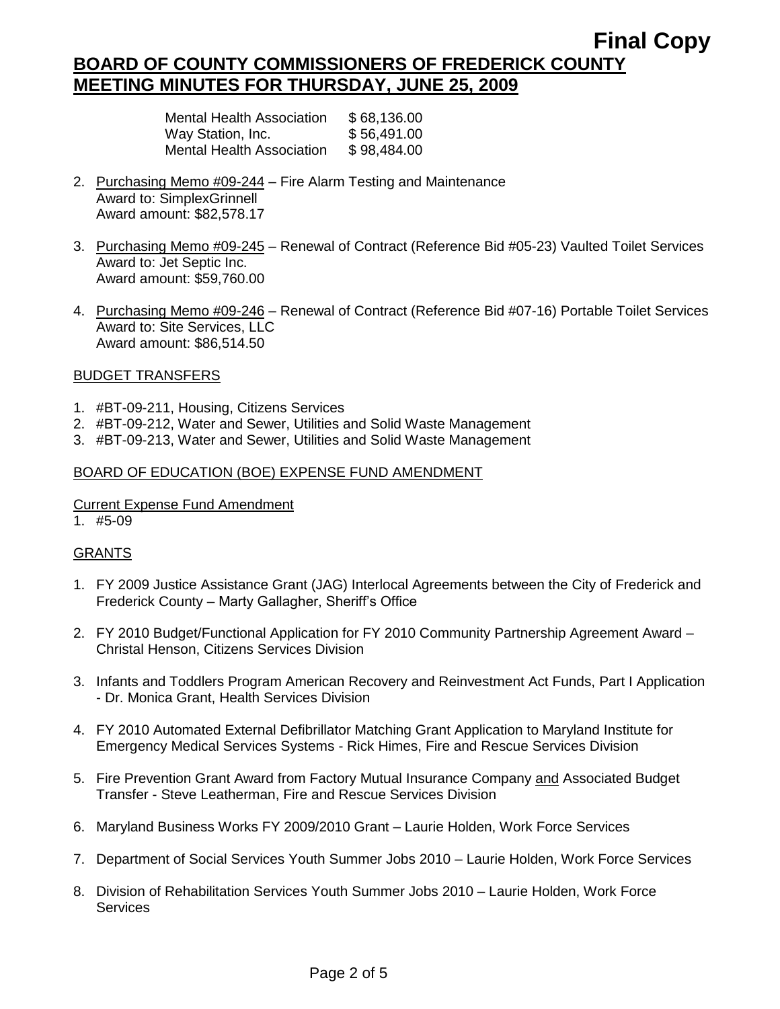## **Final Copy BOARD OF COUNTY COMMISSIONERS OF FREDERICK COUNTY MEETING MINUTES FOR THURSDAY, JUNE 25, 2009**

| Mental Health Association | \$68,136.00 |
|---------------------------|-------------|
| Way Station, Inc.         | \$56,491.00 |
| Mental Health Association | \$98,484.00 |

- 2. Purchasing Memo #09-244 Fire Alarm Testing and Maintenance Award to: SimplexGrinnell Award amount: \$82,578.17
- 3. Purchasing Memo #09-245 Renewal of Contract (Reference Bid #05-23) Vaulted Toilet Services Award to: Jet Septic Inc. Award amount: \$59,760.00
- 4. Purchasing Memo #09-246 Renewal of Contract (Reference Bid #07-16) Portable Toilet Services Award to: Site Services, LLC Award amount: \$86,514.50

#### BUDGET TRANSFERS

- 1. #BT-09-211, Housing, Citizens Services
- 2. #BT-09-212, Water and Sewer, Utilities and Solid Waste Management
- 3. #BT-09-213, Water and Sewer, Utilities and Solid Waste Management

#### BOARD OF EDUCATION (BOE) EXPENSE FUND AMENDMENT

### Current Expense Fund Amendment

1. #5-09

## **GRANTS**

- 1. FY 2009 Justice Assistance Grant (JAG) Interlocal Agreements between the City of Frederick and Frederick County – Marty Gallagher, Sheriff's Office
- 2. FY 2010 Budget/Functional Application for FY 2010 Community Partnership Agreement Award Christal Henson, Citizens Services Division
- 3. Infants and Toddlers Program American Recovery and Reinvestment Act Funds, Part I Application - Dr. Monica Grant, Health Services Division
- 4. FY 2010 Automated External Defibrillator Matching Grant Application to Maryland Institute for Emergency Medical Services Systems - Rick Himes, Fire and Rescue Services Division
- 5. Fire Prevention Grant Award from Factory Mutual Insurance Company and Associated Budget Transfer - Steve Leatherman, Fire and Rescue Services Division
- 6. Maryland Business Works FY 2009/2010 Grant Laurie Holden, Work Force Services
- 7. Department of Social Services Youth Summer Jobs 2010 Laurie Holden, Work Force Services
- 8. Division of Rehabilitation Services Youth Summer Jobs 2010 Laurie Holden, Work Force Services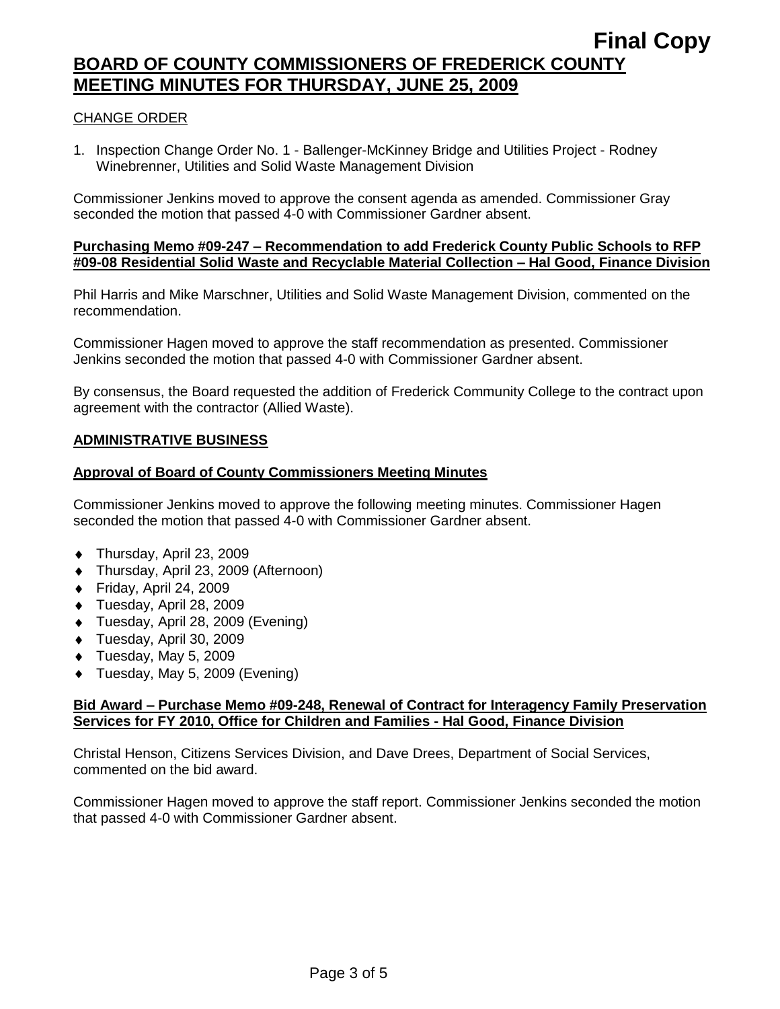## **BOARD OF COUNTY COMMISSIONERS OF FREDERICK COUNTY MEETING MINUTES FOR THURSDAY, JUNE 25, 2009**

## CHANGE ORDER

1. Inspection Change Order No. 1 - Ballenger-McKinney Bridge and Utilities Project - Rodney Winebrenner, Utilities and Solid Waste Management Division

Commissioner Jenkins moved to approve the consent agenda as amended. Commissioner Gray seconded the motion that passed 4-0 with Commissioner Gardner absent.

#### **Purchasing Memo #09-247 – Recommendation to add Frederick County Public Schools to RFP #09-08 Residential Solid Waste and Recyclable Material Collection – Hal Good, Finance Division**

Phil Harris and Mike Marschner, Utilities and Solid Waste Management Division, commented on the recommendation.

Commissioner Hagen moved to approve the staff recommendation as presented. Commissioner Jenkins seconded the motion that passed 4-0 with Commissioner Gardner absent.

By consensus, the Board requested the addition of Frederick Community College to the contract upon agreement with the contractor (Allied Waste).

## **ADMINISTRATIVE BUSINESS**

#### **Approval of Board of County Commissioners Meeting Minutes**

Commissioner Jenkins moved to approve the following meeting minutes. Commissioner Hagen seconded the motion that passed 4-0 with Commissioner Gardner absent.

- ◆ Thursday, April 23, 2009
- Thursday, April 23, 2009 (Afternoon)
- $\bullet$  Friday, April 24, 2009
- Tuesday, April 28, 2009
- Tuesday, April 28, 2009 (Evening)
- Tuesday, April 30, 2009
- $\blacklozenge$  Tuesday, May 5, 2009
- ◆ Tuesday, May 5, 2009 (Evening)

#### **Bid Award – Purchase Memo #09-248, Renewal of Contract for Interagency Family Preservation Services for FY 2010, Office for Children and Families - Hal Good, Finance Division**

Christal Henson, Citizens Services Division, and Dave Drees, Department of Social Services, commented on the bid award.

Commissioner Hagen moved to approve the staff report. Commissioner Jenkins seconded the motion that passed 4-0 with Commissioner Gardner absent.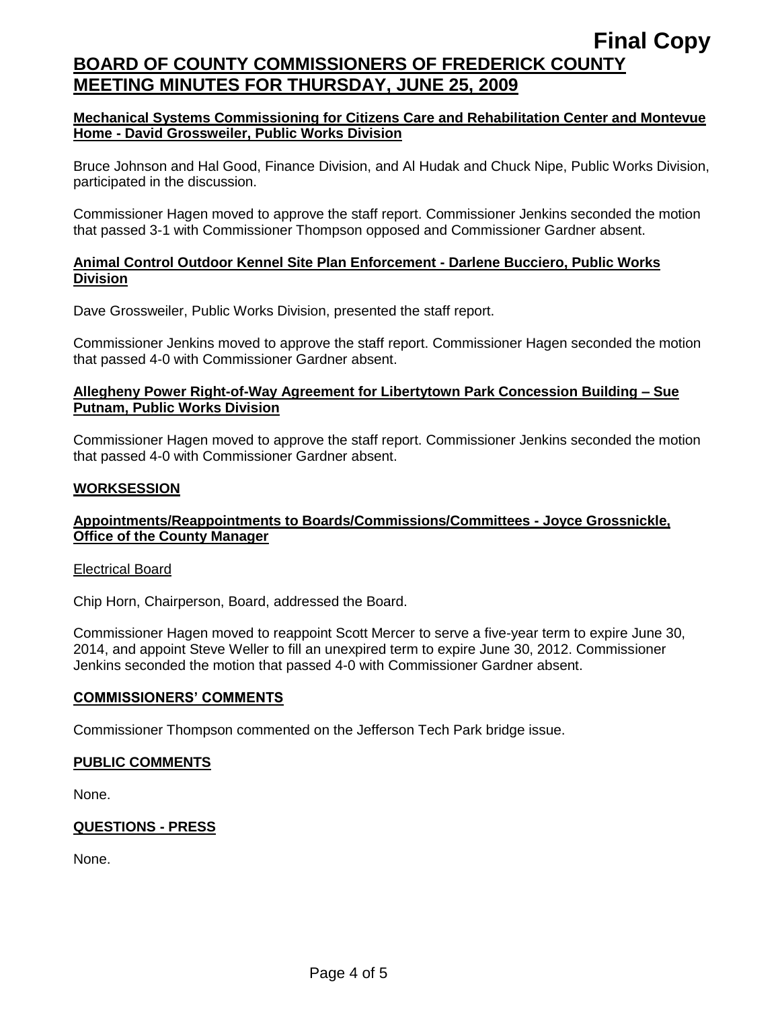## **Final Copy BOARD OF COUNTY COMMISSIONERS OF FREDERICK COUNTY MEETING MINUTES FOR THURSDAY, JUNE 25, 2009**

### **Mechanical Systems Commissioning for Citizens Care and Rehabilitation Center and Montevue Home - David Grossweiler, Public Works Division**

Bruce Johnson and Hal Good, Finance Division, and Al Hudak and Chuck Nipe, Public Works Division, participated in the discussion.

Commissioner Hagen moved to approve the staff report. Commissioner Jenkins seconded the motion that passed 3-1 with Commissioner Thompson opposed and Commissioner Gardner absent.

### **Animal Control Outdoor Kennel Site Plan Enforcement - Darlene Bucciero, Public Works Division**

Dave Grossweiler, Public Works Division, presented the staff report.

Commissioner Jenkins moved to approve the staff report. Commissioner Hagen seconded the motion that passed 4-0 with Commissioner Gardner absent.

#### **Allegheny Power Right-of-Way Agreement for Libertytown Park Concession Building – Sue Putnam, Public Works Division**

Commissioner Hagen moved to approve the staff report. Commissioner Jenkins seconded the motion that passed 4-0 with Commissioner Gardner absent.

#### **WORKSESSION**

#### **Appointments/Reappointments to Boards/Commissions/Committees - Joyce Grossnickle, Office of the County Manager**

#### Electrical Board

Chip Horn, Chairperson, Board, addressed the Board.

Commissioner Hagen moved to reappoint Scott Mercer to serve a five-year term to expire June 30, 2014, and appoint Steve Weller to fill an unexpired term to expire June 30, 2012. Commissioner Jenkins seconded the motion that passed 4-0 with Commissioner Gardner absent.

#### **COMMISSIONERS' COMMENTS**

Commissioner Thompson commented on the Jefferson Tech Park bridge issue.

## **PUBLIC COMMENTS**

None.

## **QUESTIONS - PRESS**

None.